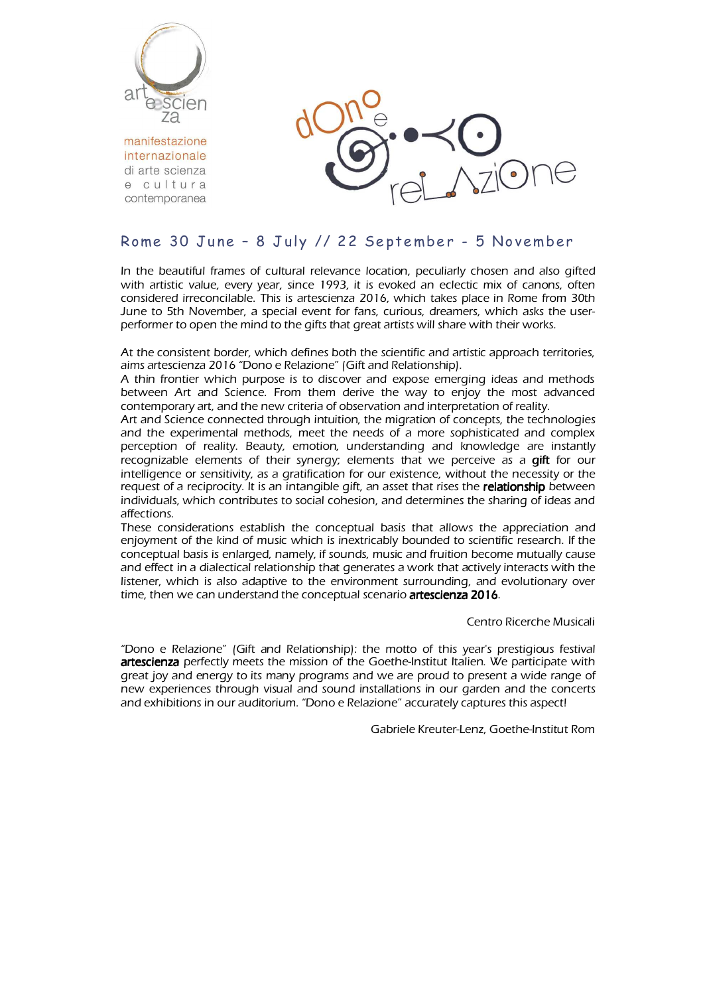

manifestazione internazionale di arte scienza e cultura contemporanea



# Rome 30 June - 8 July // 22 September - 5 November

In the beautiful frames of cultural relevance location, peculiarly chosen and also gifted with artistic value, every year, since 1993, it is evoked an eclectic mix of canons, often considered irreconcilable. This is artescienza 2016, which takes place in Rome from 30th June to 5th November, a special event for fans, curious, dreamers, which asks the userperformer to open the mind to the gifts that great artists will share with their works.

At the consistent border, which defines both the scientific and artistic approach territories, aims artescienza 2016 "Dono e Relazione" (Gift and Relationship).

A thin frontier which purpose is to discover and expose emerging ideas and methods between Art and Science. From them derive the way to enjoy the most advanced contemporary art, and the new criteria of observation and interpretation of reality.

Art and Science connected through intuition, the migration of concepts, the technologies and the experimental methods, meet the needs of a more sophisticated and complex perception of reality. Beauty, emotion, understanding and knowledge are instantly recognizable elements of their synergy; elements that we perceive as a gift for our intelligence or sensitivity, as a gratification for our existence, without the necessity or the request of a reciprocity. It is an intangible gift, an asset that rises the relationship between individuals, which contributes to social cohesion, and determines the sharing of ideas and affections.

These considerations establish the conceptual basis that allows the appreciation and enjoyment of the kind of music which is inextricably bounded to scientific research. If the conceptual basis is enlarged, namely, if sounds, music and fruition become mutually cause and effect in a dialectical relationship that generates a work that actively interacts with the listener, which is also adaptive to the environment surrounding, and evolutionary over time, then we can understand the conceptual scenario artescienza 2016.

Centro Ricerche Musicali

"Dono e Relazione" (Gift and Relationship): the motto of this year's prestigious festival artescienza perfectly meets the mission of the Goethe-Institut Italien. We participate with great joy and energy to its many programs and we are proud to present a wide range of new experiences through visual and sound installations in our garden and the concerts and exhibitions in our auditorium. "Dono e Relazione" accurately captures this aspect!

Gabriele Kreuter-Lenz, Goethe-Institut Rom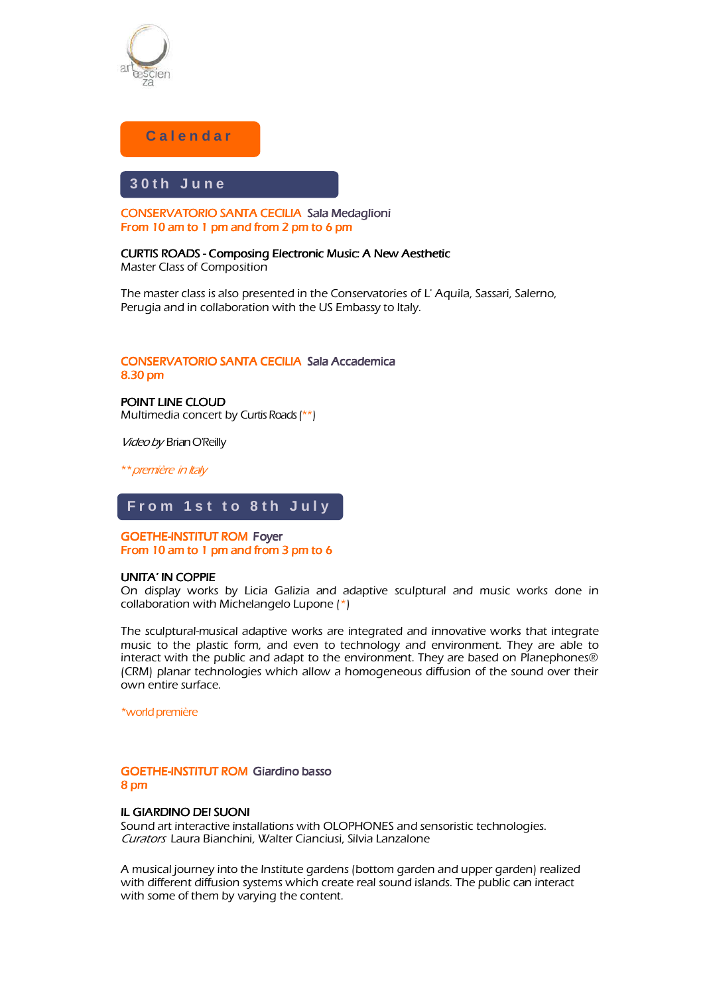

# **C a l e n d a r**

# **3 0 t h J u n e**

Ĭ CONSERVATORIO SANTA CECILIA Sala Medaglioni From 10 am to 1 pm and from 2 pm to 6 pm

CURTIS ROADS - Composing Electronic Music: A New Aesthetic Master Class of Composition

The master class is also presented in the Conservatories of L' Aquila, Sassari, Salerno, Perugia and in collaboration with the US Embassy to Italy.

# CONSERVATORIO SANTA CECILIA Sala Accademica 8.30 pm

POINT LINE CLOUD Multimedia concert by Curtis Roads (\*\*)

Video by Brian O'Reilly

\*\* première in Italy

#### Ī From 1st to 8th July

#### Ī **GOETHE-INSTITUT ROM Foyer** From 10 am to 1 pm and from 3 pm to 6

#### UNITA' IN COPPIE

On display works by Licia Galizia and adaptive sculptural and music works done in collaboration with Michelangelo Lupone (\*)

The sculptural-musical adaptive works are integrated and innovative works that integrate music to the plastic form, and even to technology and environment. They are able to interact with the public and adapt to the environment. They are based on Planephones® (CRM) planar technologies which allow a homogeneous diffusion of the sound over their own entire surface.

\*world première

# GOETHE-INSTITUT ROM Giardino basso 8 pm

### **IL GIARDINO DEI SUONI**

Sound art interactive installations with OLOPHONES and sensoristic technologies. Curators Laura Bianchini, Walter Cianciusi, Silvia Lanzalone

A musical journey into the Institute gardens (bottom garden and upper garden) realized with different diffusion systems which create real sound islands. The public can interact with some of them by varying the content.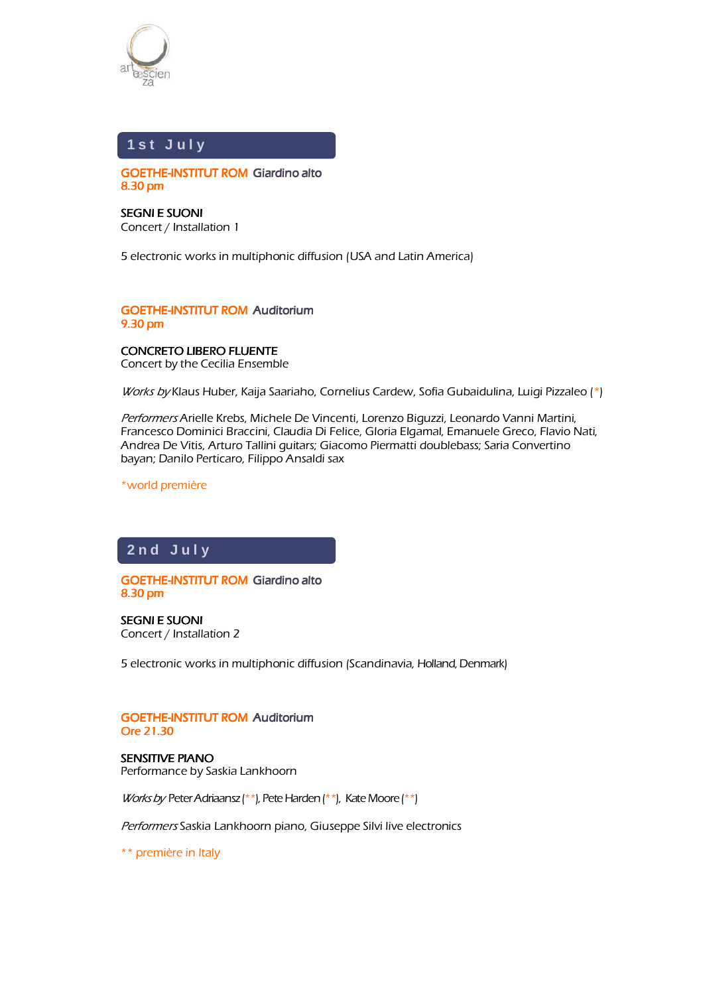

ł

j

### í **1 s t J u l y**

j **GOETHE-INSTITUT ROM Giardino alto** 8.30 pm

SEGNI E SUONI Concert / Installation 1

5 electronic works in multiphonic diffusion (USA and Latin America)

### **GOETHE-INSTITUT ROM Auditorium** 9.30 pm

### **CONCRETO LIBERO FLUENTE** Concert by the Cecilia Ensemble

Works by Klaus Huber, Kaija Saariaho, Cornelius Cardew, Sofia Gubaidulina, Luigi Pizzaleo (\*)

Performers Arielle Krebs, Michele De Vincenti, Lorenzo Biguzzi, Leonardo Vanni Martini, Francesco Dominici Braccini, Claudia Di Felice, Gloria Elgamal, Emanuele Greco, Flavio Nati, Andrea De Vitis, Arturo Tallini guitars; Giacomo Piermatti doublebass; Saria Convertino bayan; Danilo Perticaro, Filippo Ansaldi sax

\*world première

#### í í **2 n d J u l y**

í

I GOETHE-INSTITUT ROM Giardino alto  $8.30$  pm

SEGNI E SUONI Concert / Installation 2

5 electronic works in multiphonic diffusion (Scandinavia, Holland, Denmark)

# **GOETHE-INSTITUT ROM Auditorium Ore 21.30**

SENSITIVE PIANO Performance by Saskia Lankhoorn

*Works by* Peter Adriaansz (\*\*), Pete Harden (\*\*), Kate Moore (\*\*)

Performers Saskia Lankhoorn piano, Giuseppe Silvi live electronics

\*\* première in Italy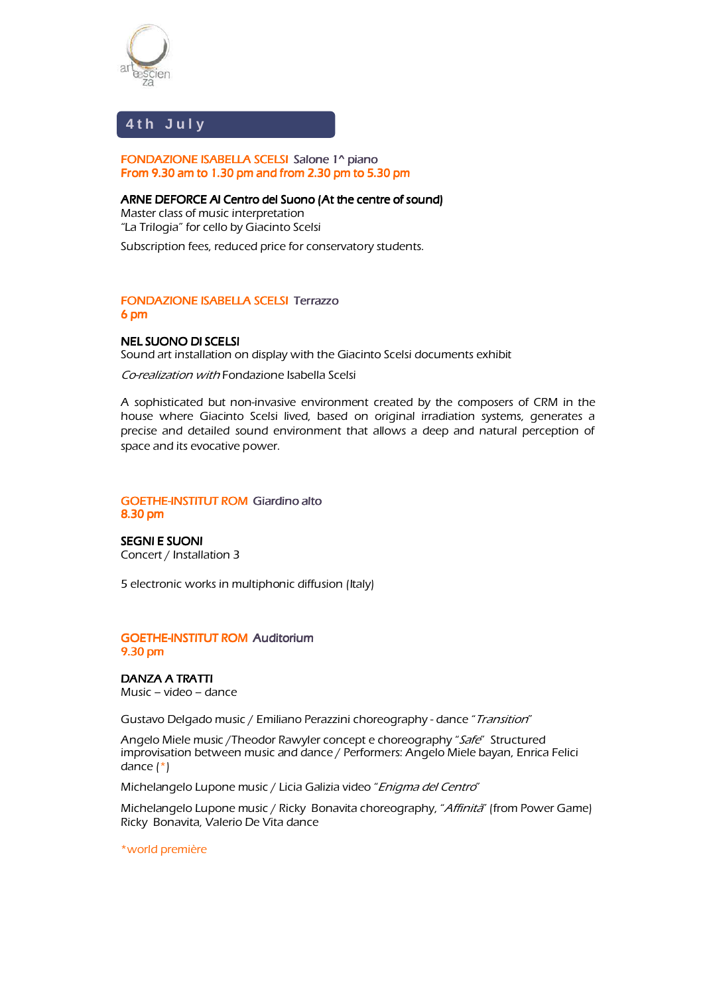

#### **4 t h J u l y**

# FONDAZIONE ISABELLA SCELSI Salone 1^ piano 1^ From 9.30 am to 1.30 pm and from 2.30 pm to 5.30 pm

ARNE DEFORCE AI Centro del Suono (At the centre of sound)

Master class of music interpretation "La Trilogia" for cello by Giacinto Scelsi

Subscription fees, reduced price for conservatory students.

# FONDAZIONE ISABELLA SCELSI Terrazzo 6 pm

# NEL SUONO DI SCELSI

Sound art installation on display with the Giacinto Scelsi documents exhibit

Co-realization with Fondazione Isabella Scelsi

A sophisticated but non-invasive environment created by the composers of CRM in the house where Giacinto Scelsi lived, based on original irradiation systems, generates a precise and detailed sound environment that allows a deep and natural perception of space and its evocative power.

# **GOETHE-INSTITUT ROM Giardino alto**  $8.30$  pm

SEGNI E SUONI Concert / Installation 3

5 electronic works in multiphonic diffusion (Italy)

# **GOETHE-INSTITUT ROM Auditorium** 9.30 pm

DANZA A TRATTI Music – video – dance

Gustavo Delgado music / Emiliano Perazzini choreography - dance "Transition"

Angelo Miele music /Theodor Rawyler concept e choreography "Safe" Structured improvisation between music and dance / Performers: Angelo Miele bayan, Enrica Felici dance (\*)

Michelangelo Lupone music / Licia Galizia video "Enigma del Centro"

Michelangelo Lupone music / Ricky Bonavita choreography, "Affinità" (from Power Game) Ricky Bonavita, Valerio De Vita dance

\*world première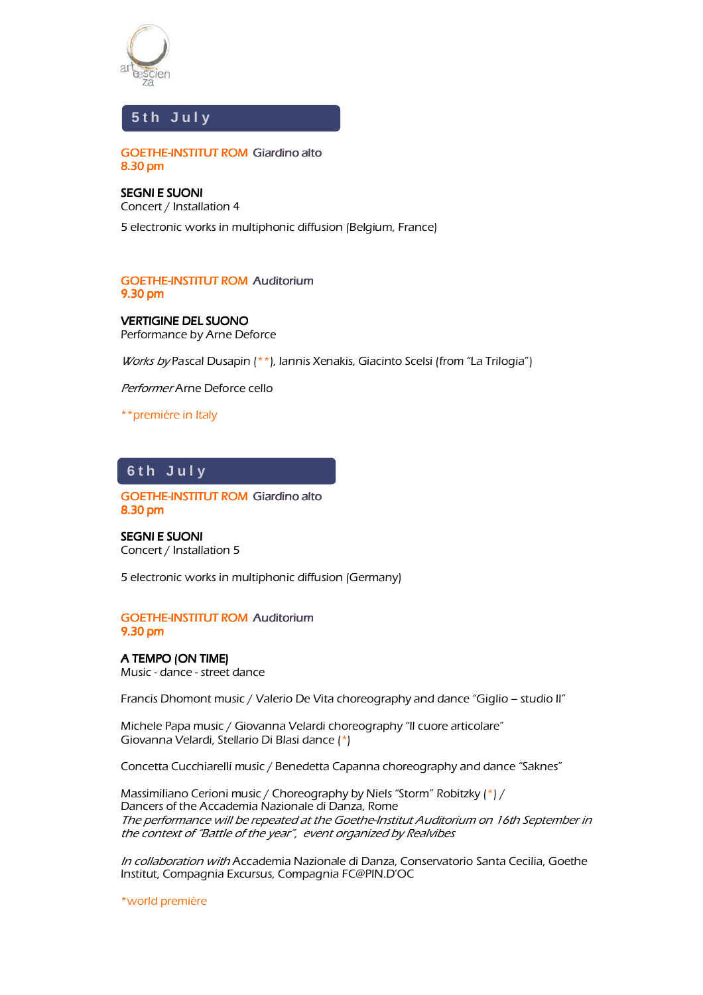



**GOETHE-INSTITUT ROM Giardino alto** 8.30 pm

SEGNI E SUONI Concert / Installation4 5 electronic works in multiphonic diffusion (Belgium, France)

# **GOETHE-INSTITUT ROM Auditorium** 9.30 pm

**VERTIGINE DEL SUONO** Performance by Arne Deforce

Works by Pascal Dusapin (\*\*), Iannis Xenakis, Giacinto Scelsi (from "La Trilogia")

Performer Arne Deforce cello

\*\*première in Italy

**6 t h J u l y**

GOETHE-INSTITUT ROM Giardino alto  $8.30$  pm

SEGNI E SUONI Concert / Installation 5

5 electronic works in multiphonic diffusion (Germany)

**GOETHE-INSTITUT ROM Auditorium** 9.30 pm

# A TEMPO (ON TIME) Music - dance - street dance

Francis Dhomont music / Valerio De Vita choreography and dance "Giglio – studio II"

Michele Papa music / Giovanna Velardi choreography "Il cuore articolare" Giovanna Velardi, Stellario Di Blasi dance (\*)

Concetta Cucchiarelli music / Benedetta Capanna choreography and dance "Saknes"

Massimiliano Cerioni music / Choreography by Niels "Storm" Robitzky (\*) / Dancers of the Accademia Nazionale di Danza, Rome The performance will be repeated at the Goethe-Institut Auditorium on 16th September in the context of "Battle of the year", event organized by Realvibes

In collaboration with Accademia Nazionale di Danza, Conservatorio Santa Cecilia, Goethe Institut, Compagnia Excursus, Compagnia FC@PIN.D'OC

\*world première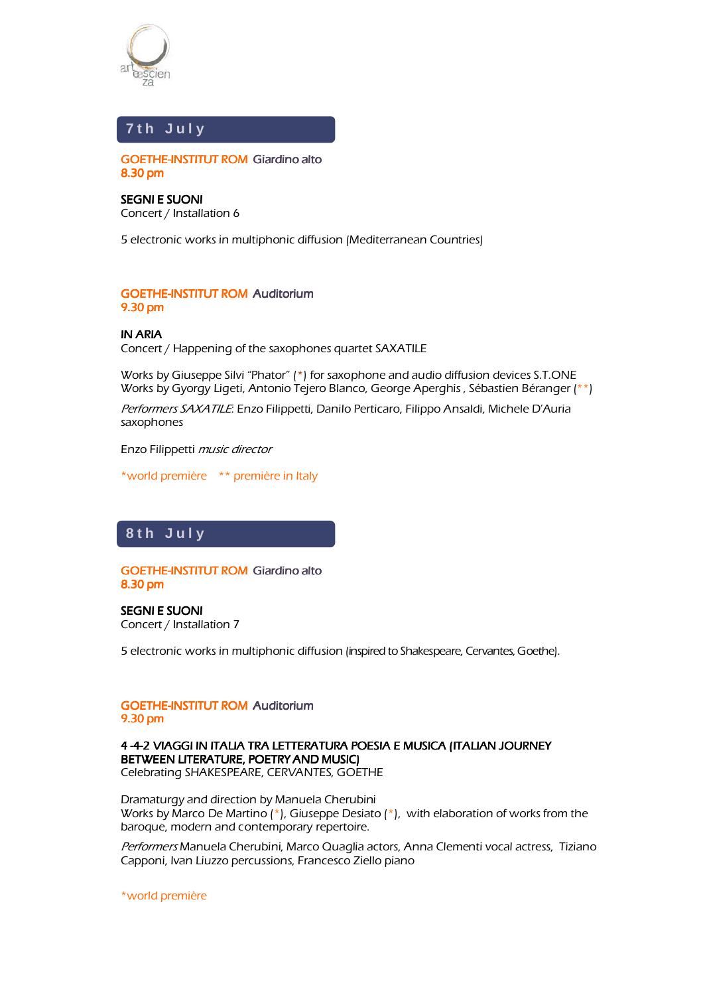

#### í **7 t h J u l y**

Ï GOETHE-INSTITUT ROM Giardino alto 8.30 pm

SEGNI E SUONI Concert / Installation 6

5 electronic works in multiphonic diffusion (Mediterranean Countries)

# **GOETHE-INSTITUT ROM Auditorium** 9.30 pm

# IN ARIA

Concert / Happening of the saxophones quartet SAXATILE

Works by Giuseppe Silvi "Phator" (\*) for saxophone and audio diffusion devices S.T.ONE Works by Gyorgy Ligeti, Antonio Tejero Blanco, George Aperghis , Sébastien Béranger (\*\*)

Performers SAXATILE: Enzo Filippetti, Danilo Perticaro, Filippo Ansaldi, Michele D'Auria saxophones

Enzo Filippetti music director

\*world première \*\* première in Italy

#### l **8 t h J u l y**

J

**GOETHE-INSTITUT ROM Giardino alto** 8.30 pm

SEGNI E SUONI Concert / Installation 7

5 electronic works in multiphonic diffusion (inspired to Shakespeare, Cervantes, Goethe).

### **GOETHE-INSTITUT ROM Auditorium** 9.30 pm

### 4 -4-2 VIAGGI IN ITALIA TRA LETTERATURA POESIA E MUSICA (ITALIAN JOURNEY BETWEEN LITERATURE, POETRY AND MUSIC) Celebrating SHAKESPEARE, CERVANTES, GOETHE

Dramaturgy and direction by Manuela Cherubini Works by Marco De Martino  $(*)$ , Giuseppe Desiato  $(*)$ , with elaboration of works from the baroque, modern and contemporary repertoire.

Performers Manuela Cherubini, Marco Quaglia actors, Anna Clementi vocal actress, Tiziano Capponi, Ivan Liuzzo percussions, Francesco Ziello piano

\*world première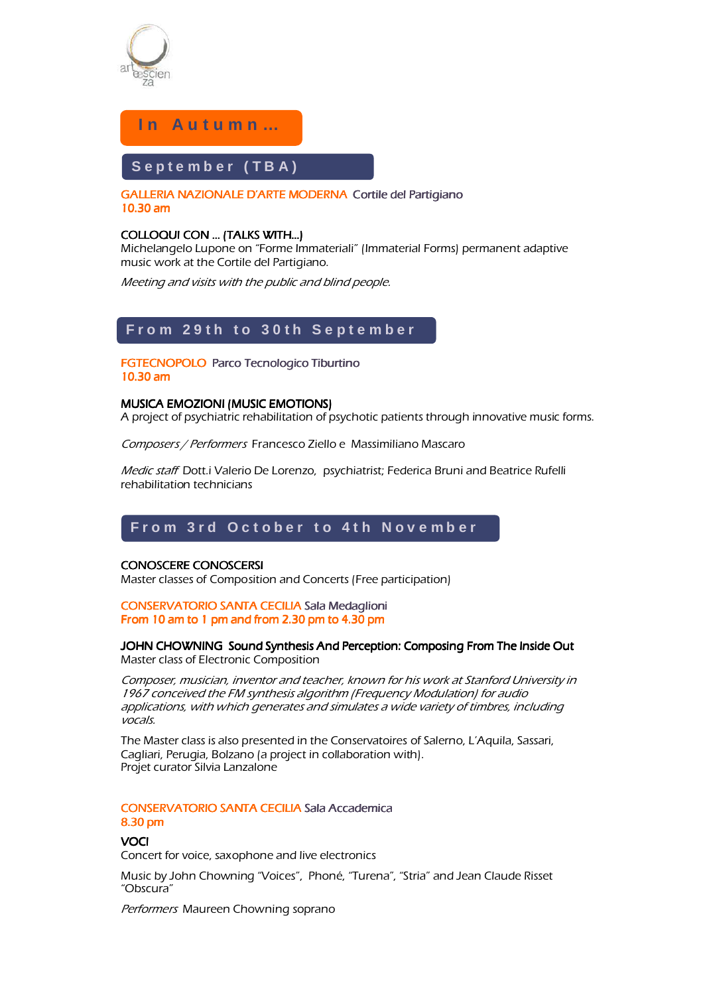

 $\overline{1}$ 

I

# **I n A u t u m n …**

#### I I I I I I I I I I I I I I I I I I September (TBA)

ľ GALLERIA NAZIONALE D'ARTE MODERNA Cortile del Partigiano 10.30 am

# COLLOQUI CON ... (TALKS WITH...)

Michelangelo Lupone on "Forme Immateriali" (Immaterial Forms) permanent adaptive music work at the Cortile del Partigiano.

Meeting and visits with the public and blind people.

# **F r o m 2 9 t h t o 3 0 t h S e p t e m b e r**

### FGTECNOPOLO Parco Tecnologico Tiburtino  $10.30$  am

# **MUSICA EMOZIONI (MUSIC EMOTIONS)**

A project of psychiatric rehabilitation of psychotic patients through innovative music forms.

Composers / Performers Francesco Ziello e Massimiliano Mascaro

Medic staff Dott.i Valerio De Lorenzo, psychiatrist; Federica Bruni and Beatrice Rufelli rehabilitation technicians

# From 3rd October to 4th November

### CONOSCERE CONOSCERSI CONOSCERE

Master classes of Composition and Concerts (Free participation)

### CONSERVATORIO SANTA CECILIA Sala Medaglioni From 10 am to 1 pm and from 2.30 pm to 4.30 pm

### JOHN CHOWNING Sound Synthesis And Perception: Composing From The Inside Out Master class of Electronic Composition

Composer, musician, inventor and teacher, known for his work at Stanford University in 1967 conceived the FM synthesis algorithm (Frequency Modulation) for audio applications, with which generates and simulates a wide variety of timbres, including vocals.

The Master class is also presented in the Conservatoires of Salerno, L'Aquila, Sassari, Cagliari, Perugia, Bolzano (a project in collaboration with). Projet curator Silvia Lanzalone

# CONSERVATORIO SANTA CECILIA Sala Accademica  $8.30$  pm

### **VOCI**

Concert for voice, saxophone and live electronics

Music by John Chowning "Voices", Phoné, "Turena", "Stria" and Jean Claude Risset "Obscura"

Performers Maureen Chowning soprano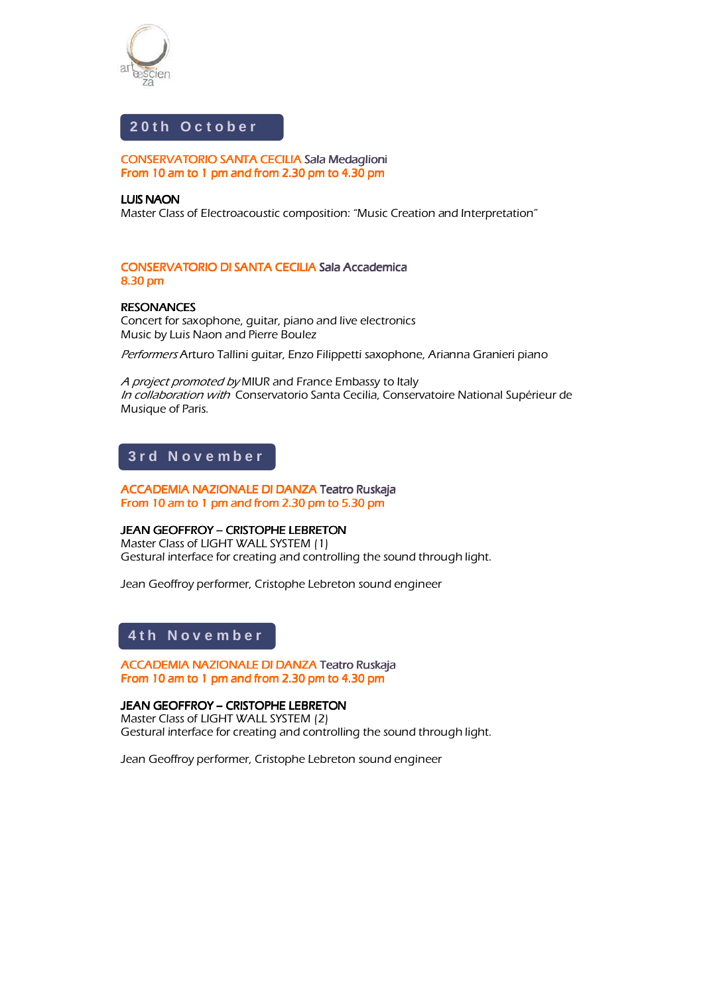

ſ I

# 20th October

CONSERVATORIO SANTA CECILIA Sala Medaglioni From 10 am to 1 pm and from 2.30 pm to  $4.30$  pm

## LUIS NAON

Master Class of Electroacoustic composition: "Music Creation and Interpretation"

# CONSERVATORIO DI SANTA CECILIA Sala Accademica  $8.30$  pm

# **RESONANCES**

Concert for saxophone, guitar, piano and live electronics Music by Luis Naon and Pierre Boulez

Performers Arturo Tallini quitar, Enzo Filippetti saxophone, Arianna Granieri piano

A project promoted by MIUR and France Embassy to Italy In collaboration with Conservatorio Santa Cecilia, Conservatoire National Supérieur de Musique of Paris.

# **3 r d N o v e m b e r**

ACCADEMIA NAZIONALE DI DANZA Teatro Ruskaja From 10 am to 1 pm and from 2.30 pm to 5.30 pm

### **JEAN GEOFFROY – CRISTOPHE LEBRETON**

Master Class of LIGHT WALL SYSTEM (1) Gestural interface for creating and controlling the sound through light.

Jean Geoffroy performer, Cristophe Lebreton sound engineer

# **4 t h N o v e m b e r**

l,

j ACCADEMIA NAZIONALE DI DANZA Teatro Ruskaja From 10 am to 1 pm and from 2.30 pm to 4.30 pm

JEAN GEOFFROY - CRISTOPHE LEBRETON Master Class of LIGHT WALL SYSTEM(2) Gestural interface for creating and controlling the sound through light.

Jean Geoffroy performer, Cristophe Lebreton sound engineer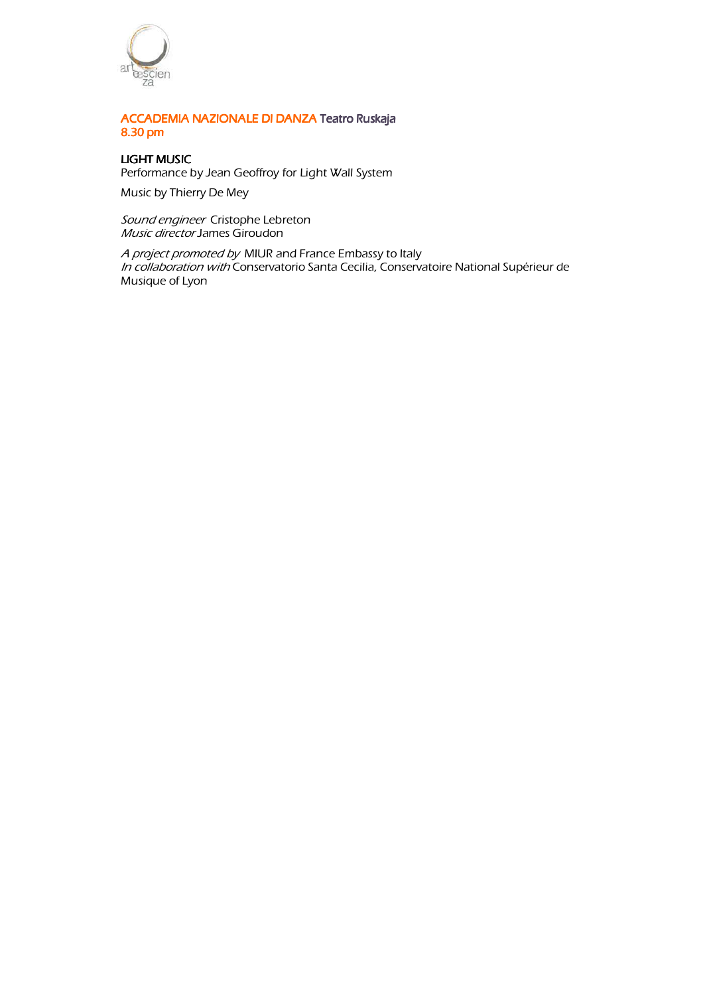

# ACCADEMIA NAZIONALE DI DANZA Teatro Ruskaja Ruskaja  $8.30 \text{ pm}$

# LIGHT MUSIC

Performance by Jean Geoffroy for Light Wall System

Music by Thierry De Mey

Sound engineer Cristophe Lebreton Music director James Giroudon

A project promoted by MIUR and France Embassy to Italy In collaboration with Conservatorio Santa Cecilia, Conservatoire National Supérieur de Musique of Lyon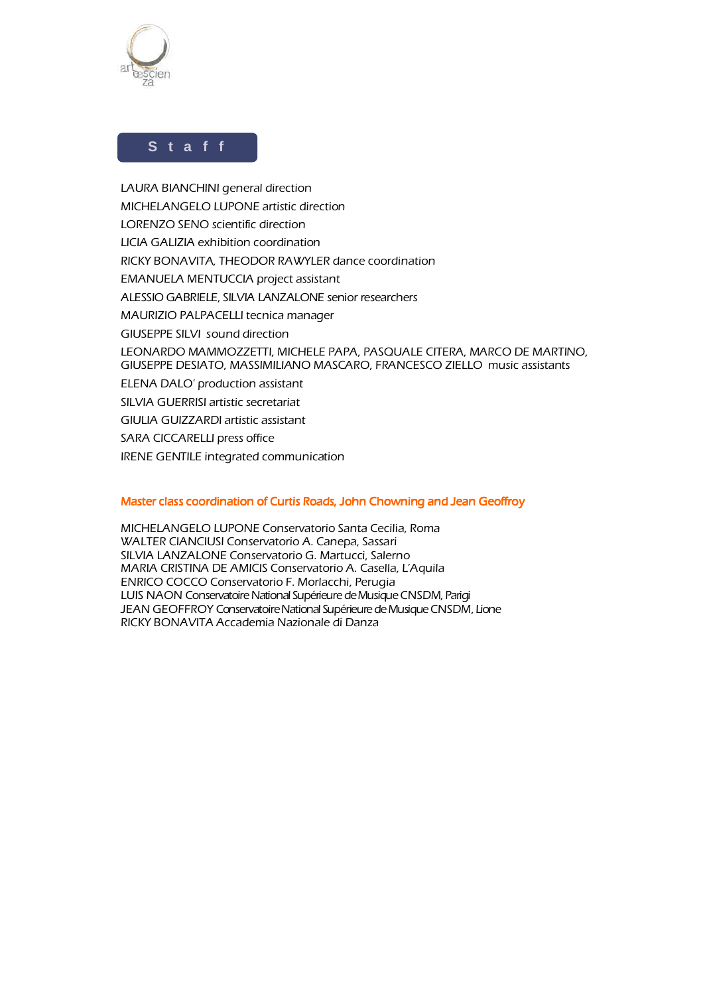

Ĩ í

# **S t a f f**

LAURA BIANCHINI general direction MICHELANGELO LUPONE artistic direction LORENZO SENO scientific direction LICIA GALIZIA exhibition coordination RICKY BONAVITA, THEODOR RAWYLER dance coordination EMANUELA MENTUCCIA project assistant ALESSIO GABRIELE, SILVIA LANZALONE senior researchers MAURIZIO PALPACELLI tecnica manager GIUSEPPE SILVI sound direction LEONARDO MAMMOZZETTI, MICHELE PAPA, PASQUALE CITERA, MARCO DE MARTINO, GIUSEPPE DESIATO, MASSIMILIANO MASCARO, FRANCESCO ZIELLO music assistants ELENA DALO' production assistant SILVIA GUERRISI artistic secretariat GIULIA GUIZZARDI artistic assistant SARA CICCARELLI press office IRENE GENTILE integrated communication

# Master class coordination of Curtis Roads, John Chowning and Jean Geoffroy

MICHELANGELO LUPONE Conservatorio Santa Cecilia, Roma WALTER CIANCIUSI Conservatorio A. Canepa, Sassari SILVIA LANZALONE Conservatorio G. Martucci, Salerno MARIA CRISTINA DE AMICIS Conservatorio A. Casella, L'Aquila ENRICO COCCO Conservatorio F. Morlacchi, Perugia LUIS NAON Conservatoire National Supérieure de Musique CNSDM, Parigi JEAN GEOFFROY Conservatoire National Supérieure de Musique CNSDM, Lione RICKY BONAVITA Accademia Nazionale di Danza